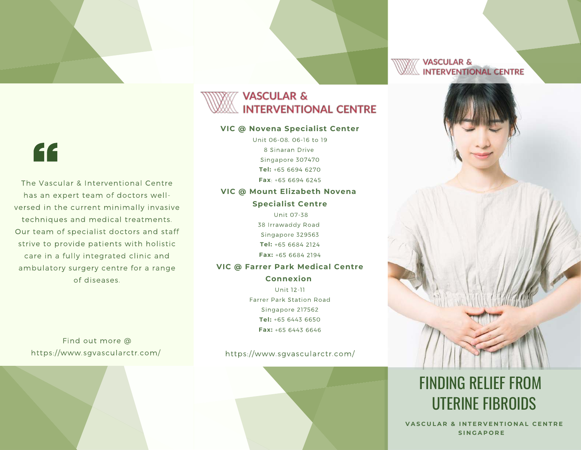### **VASCULAR & INTERVENTIONAL CENTRE**

#### **VIC @ Novena Specialist Center**

Unit 06-08, 06-16 to 19 8 Sinaran Drive Singapore 307470 **Tel:** +65 6694 6270 **Fax**: +65 6694 6245

## **VIC @ Mount Elizabeth Novena**

**Specialist Centre** Unit 07-38

38 Irrawaddy Road Singapore 329563 **Tel:** +65 6684 2124 **Fax:** +65 6684 2194

#### **VIC @ Farrer Park Medical Centre**

**Connexion** Unit 12-11 Farrer Park Station Road Singapore 217562 **Tel:** +65 6443 6650 **Fax:** +65 6443 6646

Find out more @ https://www.sgvascularctr.com/

https://www.sgvascularctr.com/



**VASCULAR & INTERVENTIONAL CENTRE** 



# FINDING RELIEF FROM UTERINE FIBROIDS

**VASCULAR & INTERVENTIONAL CENTRE S I N G A P O R E** 



The Vascular & Interventional Centre has an expert team of doctors wellversed in the current minimally invasive techniques and medical treatments. Our team of specialist doctors and staff strive to provide patients with holistic care in a fully integrated clinic and ambulatory surgery centre for a range of diseases.